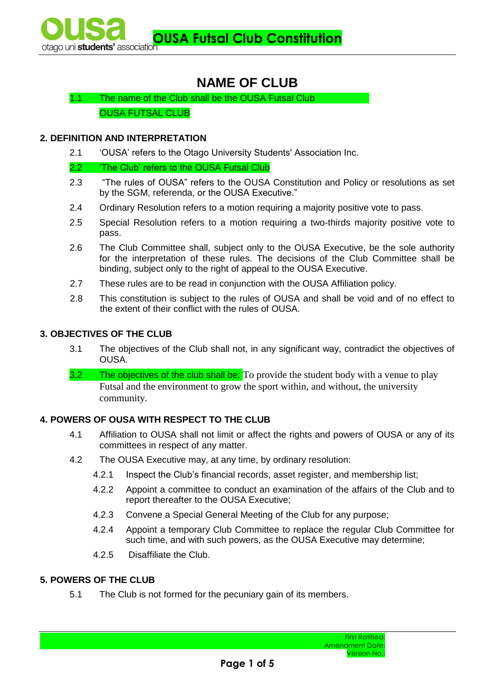# **NAME OF CLUB**

1.1 The name of the Club shall be the OUSA Futsal Club OUSA FUTSAL CLUB

# **2. DEFINITION AND INTERPRETATION**

2.1 'OUSA' refers to the Otago University Students' Association Inc.

2.2 'The Club' refers to the OUSA Futsal Club

- 2.3 "The rules of OUSA" refers to the OUSA Constitution and Policy or resolutions as set by the SGM, referenda, or the OUSA Executive."
- 2.4 Ordinary Resolution refers to a motion requiring a majority positive vote to pass.
- 2.5 Special Resolution refers to a motion requiring a two-thirds majority positive vote to pass.
- 2.6 The Club Committee shall, subject only to the OUSA Executive, be the sole authority for the interpretation of these rules. The decisions of the Club Committee shall be binding, subject only to the right of appeal to the OUSA Executive.
- 2.7 These rules are to be read in conjunction with the OUSA Affiliation policy.
- 2.8 This constitution is subject to the rules of OUSA and shall be void and of no effect to the extent of their conflict with the rules of OUSA.

### **3. OBJECTIVES OF THE CLUB**

- 3.1 The objectives of the Club shall not, in any significant way, contradict the objectives of OUSA.
- **3.2** The objectives of the club shall be: To provide the student body with a venue to play Futsal and the environment to grow the sport within, and without, the university community.

# **4. POWERS OF OUSA WITH RESPECT TO THE CLUB**

- 4.1 Affiliation to OUSA shall not limit or affect the rights and powers of OUSA or any of its committees in respect of any matter.
- 4.2 The OUSA Executive may, at any time, by ordinary resolution:
	- 4.2.1 Inspect the Club's financial records, asset register, and membership list;
		- 4.2.2 Appoint a committee to conduct an examination of the affairs of the Club and to report thereafter to the OUSA Executive;
		- 4.2.3 Convene a Special General Meeting of the Club for any purpose;
		- 4.2.4 Appoint a temporary Club Committee to replace the regular Club Committee for such time, and with such powers, as the OUSA Executive may determine;
		- 4.2.5 Disaffiliate the Club.

# **5. POWERS OF THE CLUB**

5.1 The Club is not formed for the pecuniary gain of its members.

First Ratified: Amendment Date: Version No.: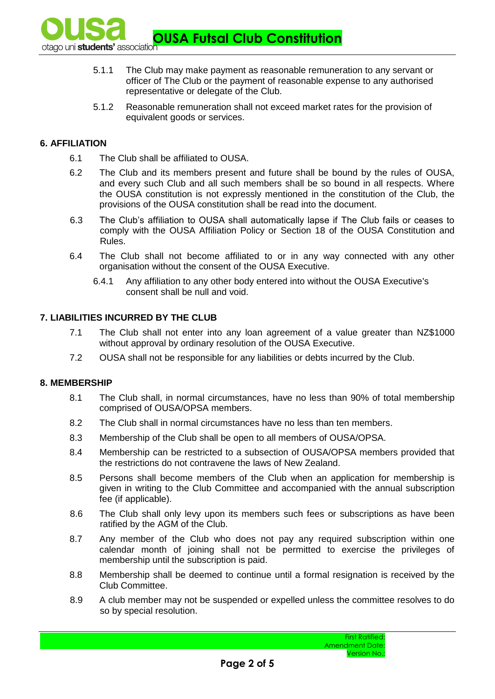**OUSA Futsal Club Constitution** otaqo uni students' association

- 5.1.1 The Club may make payment as reasonable remuneration to any servant or officer of The Club or the payment of reasonable expense to any authorised representative or delegate of the Club.
- 5.1.2 Reasonable remuneration shall not exceed market rates for the provision of equivalent goods or services.

# **6. AFFILIATION**

- 6.1 The Club shall be affiliated to OUSA.
- 6.2 The Club and its members present and future shall be bound by the rules of OUSA, and every such Club and all such members shall be so bound in all respects. Where the OUSA constitution is not expressly mentioned in the constitution of the Club, the provisions of the OUSA constitution shall be read into the document.
- 6.3 The Club's affiliation to OUSA shall automatically lapse if The Club fails or ceases to comply with the OUSA Affiliation Policy or Section 18 of the OUSA Constitution and Rules.
- 6.4 The Club shall not become affiliated to or in any way connected with any other organisation without the consent of the OUSA Executive.
	- 6.4.1 Any affiliation to any other body entered into without the OUSA Executive's consent shall be null and void.

# **7. LIABILITIES INCURRED BY THE CLUB**

- 7.1 The Club shall not enter into any loan agreement of a value greater than NZ\$1000 without approval by ordinary resolution of the OUSA Executive.
- 7.2 OUSA shall not be responsible for any liabilities or debts incurred by the Club.

#### **8. MEMBERSHIP**

- 8.1 The Club shall, in normal circumstances, have no less than 90% of total membership comprised of OUSA/OPSA members.
- 8.2 The Club shall in normal circumstances have no less than ten members.
- 8.3 Membership of the Club shall be open to all members of OUSA/OPSA.
- 8.4 Membership can be restricted to a subsection of OUSA/OPSA members provided that the restrictions do not contravene the laws of New Zealand.
- 8.5 Persons shall become members of the Club when an application for membership is given in writing to the Club Committee and accompanied with the annual subscription fee (if applicable).
- 8.6 The Club shall only levy upon its members such fees or subscriptions as have been ratified by the AGM of the Club.
- 8.7 Any member of the Club who does not pay any required subscription within one calendar month of joining shall not be permitted to exercise the privileges of membership until the subscription is paid.
- 8.8 Membership shall be deemed to continue until a formal resignation is received by the Club Committee.
- 8.9 A club member may not be suspended or expelled unless the committee resolves to do so by special resolution.

First Ratified: Amendment Date: Version No.: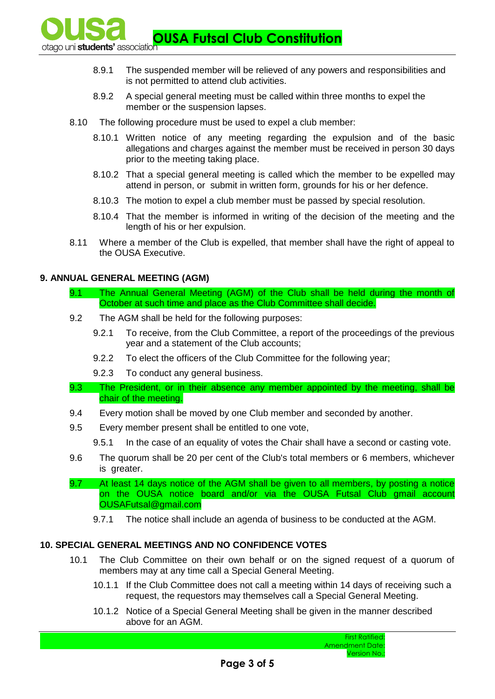**OUSA Futsal Club Constitution Club Constitution** 

- 8.9.1 The suspended member will be relieved of any powers and responsibilities and is not permitted to attend club activities.
- 8.9.2 A special general meeting must be called within three months to expel the member or the suspension lapses.
- 8.10 The following procedure must be used to expel a club member:
	- 8.10.1 Written notice of any meeting regarding the expulsion and of the basic allegations and charges against the member must be received in person 30 days prior to the meeting taking place.
	- 8.10.2 That a special general meeting is called which the member to be expelled may attend in person, or submit in written form, grounds for his or her defence.
	- 8.10.3 The motion to expel a club member must be passed by special resolution.
	- 8.10.4 That the member is informed in writing of the decision of the meeting and the length of his or her expulsion.
- 8.11 Where a member of the Club is expelled, that member shall have the right of appeal to the OUSA Executive.

# **9. ANNUAL GENERAL MEETING (AGM)**

- 9.1 The Annual General Meeting (AGM) of the Club shall be held during the month of October at such time and place as the Club Committee shall decide.
- 9.2 The AGM shall be held for the following purposes:
	- 9.2.1 To receive, from the Club Committee, a report of the proceedings of the previous year and a statement of the Club accounts;
	- 9.2.2 To elect the officers of the Club Committee for the following year;
	- 9.2.3 To conduct any general business.
- 9.3 The President, or in their absence any member appointed by the meeting, shall be chair of the meeting.
- 9.4 Every motion shall be moved by one Club member and seconded by another.
- 9.5 Every member present shall be entitled to one vote,
	- 9.5.1 In the case of an equality of votes the Chair shall have a second or casting vote.
- 9.6 The quorum shall be 20 per cent of the Club's total members or 6 members, whichever is greater.
- 9.7 At least 14 days notice of the AGM shall be given to all members, by posting a notice on the OUSA notice board and/or via the OUSA Futsal Club gmail account OUSAFutsal@gmail.com
	- 9.7.1 The notice shall include an agenda of business to be conducted at the AGM.

# **10. SPECIAL GENERAL MEETINGS AND NO CONFIDENCE VOTES**

- 10.1 The Club Committee on their own behalf or on the signed request of a quorum of members may at any time call a Special General Meeting.
	- 10.1.1 If the Club Committee does not call a meeting within 14 days of receiving such a request, the requestors may themselves call a Special General Meeting.
	- 10.1.2 Notice of a Special General Meeting shall be given in the manner described above for an AGM.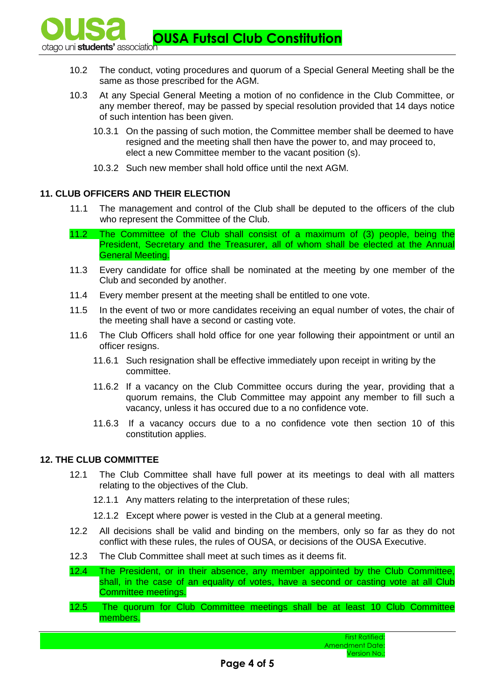**OUSA Futsal Club Constitution Club Constitution** 

- 10.2 The conduct, voting procedures and quorum of a Special General Meeting shall be the same as those prescribed for the AGM.
- 10.3 At any Special General Meeting a motion of no confidence in the Club Committee, or any member thereof, may be passed by special resolution provided that 14 days notice of such intention has been given.
	- 10.3.1 On the passing of such motion, the Committee member shall be deemed to have resigned and the meeting shall then have the power to, and may proceed to, elect a new Committee member to the vacant position (s).
	- 10.3.2 Such new member shall hold office until the next AGM.

# **11. CLUB OFFICERS AND THEIR ELECTION**

- 11.1 The management and control of the Club shall be deputed to the officers of the club who represent the Committee of the Club.
- 11.2 The Committee of the Club shall consist of a maximum of (3) people, being the President, Secretary and the Treasurer, all of whom shall be elected at the Annual General Meeting.
- 11.3 Every candidate for office shall be nominated at the meeting by one member of the Club and seconded by another.
- 11.4 Every member present at the meeting shall be entitled to one vote.
- 11.5 In the event of two or more candidates receiving an equal number of votes, the chair of the meeting shall have a second or casting vote.
- 11.6 The Club Officers shall hold office for one year following their appointment or until an officer resigns.
	- 11.6.1 Such resignation shall be effective immediately upon receipt in writing by the committee.
	- 11.6.2 If a vacancy on the Club Committee occurs during the year, providing that a quorum remains, the Club Committee may appoint any member to fill such a vacancy, unless it has occured due to a no confidence vote.
	- 11.6.3 If a vacancy occurs due to a no confidence vote then section 10 of this constitution applies.

# **12. THE CLUB COMMITTEE**

- 12.1 The Club Committee shall have full power at its meetings to deal with all matters relating to the objectives of the Club.
	- 12.1.1 Any matters relating to the interpretation of these rules;
	- 12.1.2 Except where power is vested in the Club at a general meeting.
- 12.2 All decisions shall be valid and binding on the members, only so far as they do not conflict with these rules, the rules of OUSA, or decisions of the OUSA Executive.
- 12.3 The Club Committee shall meet at such times as it deems fit.
- 12.4 The President, or in their absence, any member appointed by the Club Committee, shall, in the case of an equality of votes, have a second or casting vote at all Club Committee meetings.
- 12.5 The quorum for Club Committee meetings shall be at least 10 Club Committee members.

First Ratified: Amendment Date: Version No.: